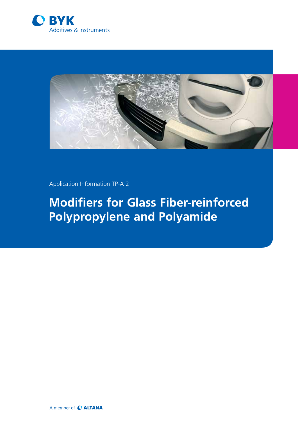



Application Information TP-A 2

# **Modifiers for Glass Fiber-reinforced Polypropylene and Polyamide**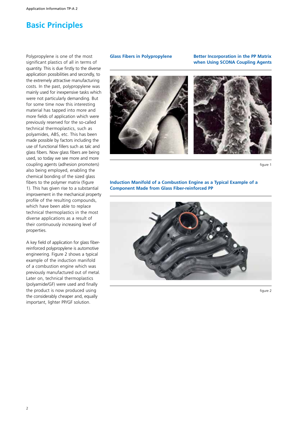# **Basic Principles**

Polypropylene is one of the most significant plastics of all in terms of quantity. This is due firstly to the diverse application possibilities and secondly, to the extremely attractive manufacturing costs. In the past, polypropylene was mainly used for inexpensive tasks which were not particularly demanding. But for some time now this interesting material has tapped into more and more fields of application which were previously reserved for the so-called technical thermoplastics, such as polyamides, ABS, etc. This has been made possible by factors including the use of functional fillers such as talc and glass fibers. Now glass fibers are being used, so today we see more and more coupling agents (adhesion promoters) also being employed, enabling the chemical bonding of the sized glass fibers to the polymer matrix (figure 1). This has given rise to a substantial improvement in the mechanical property profile of the resulting compounds, which have been able to replace technical thermoplastics in the most diverse applications as a result of their continuously increasing level of properties.

A key field of application for glass fiberreinforced polypropylene is automotive engineering. Figure 2 shows a typical example of the induction manifold of a combustion engine which was previously manufactured out of metal. Later on, technical thermoplastics (polyamide/GF) were used and finally the product is now produced using the considerably cheaper and, equally important, lighter PP/GF solution.

#### **Glass Fibers in Polypropylene**

**Better Incorporation in the PP Matrix when Using SCONA Coupling Agents**



figure 1

### **Induction Manifold of a Combustion Engine as a Typical Example of a Component Made from Glass Fiber-reinforced PP**



figure 2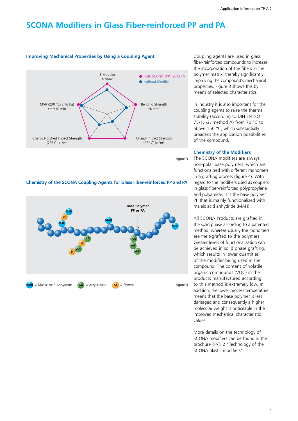# **SCONA Modifiers in Glass Fiber-reinforced PP and PA**



figure 3

## **Chemistry of the SCONA Coupling Agents for Glass Fiber-reinforced PP and PA**



Coupling agents are used in glass fiber-reinforced compounds to increase the incorporation of the fibers in the polymer matrix, thereby significantly improving the compound's mechanical properties. Figure 3 shows this by means of selected characteristics.

In industry it is also important for the coupling agents to raise the thermal stability (according to DIN EN ISO 75-1, -2, method A) from 70 °C to above 150 °C, which substantially broadens the application possibilities of the compound.

#### **Chemistry of the Modifiers**

The SCONA modifiers are always non-polar base polymers, which are functionalized with different monomers in a grafting process (figure 4). With regard to the modifiers used as couplers in glass fiber-reinforced polypropylene and polyamide, it is the base polymer PP that is mainly functionalized with maleic acid anhydride (MAH).

All SCONA Products are grafted in the solid phase according to a patented method, whereas usually the monomers are melt-grafted to the polymers. Greater levels of functionalization can be achieved in solid phase grafting, which results in lower quantities of the modifier being used in the compound. The content of volatile organic compounds (VOC) in the products manufactured according to this method is extremely low. In addition, the lower process temperature means that the base polymer is less damaged and consequently a higher molecular weight is noticeable in the improved mechanical characteristic values.

More details on the technology of SCONA modifiers can be found in the brochure TP-TI 2 "Technology of the SCONA plastic modifiers".

# **Improving Mechanical Properties by Using a Coupling Agent**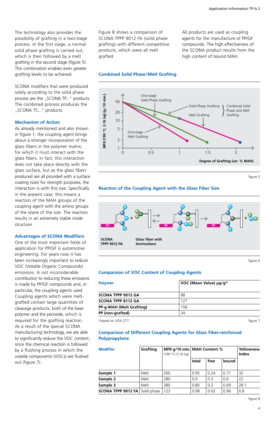The technology also provides the possibility of grafting in a two-stage process. In the first stage, a normal solid phase grafting is carried out, which is then followed by a melt grafting in the second stage (figure 5). This combination enables even greater grafting levels to be achieved.

SCONA modifiers that were produced solely according to the solid phase process are the "SCONA TP..." products. The combined process produces the "SCONA TS..." products.

#### **Mechanism of Action**

As already mentioned and also shown in figure 1, the coupling agent brings about a stronger incorporation of the glass fibers in the polymer matrix, for which it must interact with the glass fibers. In fact, this interaction does not take place directly with the glass surface, but as the glass fibers produced are all provided with a surface coating (size) for strength purposes, the interaction is with this size. Specifically in the present case, this means a reaction of the MAH groups of the coupling agent with the amino groups of the silane of the size. The reaction results in an extremely stable imide structure.

#### **Advantages of SCONA Modifiers**

One of the most important fields of application for PP/GF is automotive engineering. For years now it has been increasingly important to reduce VOC (Volatile Organic Compounds) emissions. A not inconsiderable contribution to reducing these emissions is made by PP/GF compounds and, in particular, the coupling agents used. Coupling agents which were meltgrafted contain large quantities of cleavage products, both of the base polymer and the peroxide, which is required for the grafting reaction. As a result of the special SCONA manufacturing technology, we are able to significantly reduce the VOC content, since the chemical reaction is followed by a flushing process in which the volatile components (VOCs) are flushed out (figure 7).

Figure 8 shows a comparison of SCONA TPPP 9012 FA (solid phase grafting) with different competitive products, which were all melt grafted.

All products are used as coupling agents for the manufacture of PP/GF compounds. The high effectiveness of the SCONA product results from the high content of bound MAH.

#### **Combined Solid Phase/Melt Grafting**



figure 5

### **Reaction of the Coupling Agent with the Glass Fiber Size**



figure 6

#### **Comparsion of VOC Content of Coupling Agents**

| <b>Polymer</b>            | VOC (Mean Value) µg/g* |
|---------------------------|------------------------|
| <b>SCONA TPPP 9012 GA</b> | 88                     |
| <b>SCONA TPPP 8112 GA</b> | 127                    |
| PP-g-MAH (Melt Grafting)  | 158                    |
| PP (non-grafted)          | 34                     |

\*based on VDA 277 figure 7

### **Comparison of Different Coupling Agents for Glass Fiber-reinforced Polypropylene**

| <b>Modifier</b>                         | Grafting | (190 °C/2.16 kg) | MFR g/10 min. MAH Content % |      |       | <b>Yellowness</b><br>Index |
|-----------------------------------------|----------|------------------|-----------------------------|------|-------|----------------------------|
|                                         |          |                  | total                       | free | bound |                            |
| Sample 1                                | Melt     | 260              | 0.95                        | 0.24 | 0.71  | 32                         |
| Sample 2                                | Melt     | 280              | 0.9                         | 0.3  | 0.6   | 22                         |
| Sample 3                                | Melt     | 380              | 0.80                        | 0.2  | 0.69  | 28.1                       |
| <b>SCONA TPPP 9012 FA   Solid phase</b> |          | 123              | 0.98                        | 0.02 | 0.96  | 6.8                        |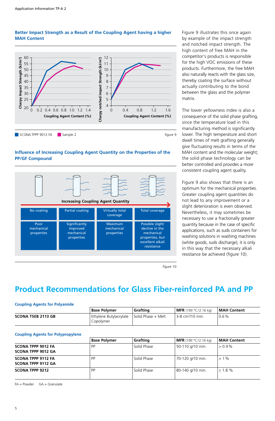### **Better Impact Strength as a Result of the Coupling Agent having a higher MAH Content**



## **Influence of Increasing Coupling Agent Quantity on the Properties of the PP/GF Compound**



Figure 9 illustrates this once again by example of the impact strength and notched impact strength. The high content of free MAH in the competitor's products is responsible for the high VOC emissions of these products. Furthermore, the free MAH also naturally reacts with the glass size, thereby coating the surface without actually contributing to the bond between the glass and the polymer matrix.

The lower yellowness index is also a consequence of the solid phase grafting, since the temperature load in this manufacturing method is significantly lower. The high temperature and short dwell times of melt grafting generally give fluctuating results in terms of the MAH content and the molecular weight; the solid phase technology can be better controlled and provides a more consistent coupling agent quality.

Figure 9 also shows that there is an optimum for the mechanical properties. Greater coupling agent quantities do not lead to any improvement or a slight deterioration is even observed. Nevertheless, it may sometimes be necessary to use a fractionally greater quantity because in the case of specific applications, such as suds containers for washing solutions in washing machines (white goods, suds discharge), it is only in this way that the necessary alkali resistance be achieved (figure 10).

figure 10

# **Product Recommendations for Glass Fiber-reinforced PA and PP**

#### **Coupling Agents for Polyamide**

|                           | <b>Base Polymer</b>                                      | Grafting | MFR (190 °C/2.16 ka)           | <b>MAH Content</b> |
|---------------------------|----------------------------------------------------------|----------|--------------------------------|--------------------|
| <b>SCONA TSEB 2113 GB</b> | Ethylene Butylacrylate   Solid Phase + Melt<br>Copolvmer |          | l 3-8 cm <sup>3</sup> /10 min. | $0.6\%$            |

|  | <b>Coupling Agents for Polypropylene</b> |  |  |
|--|------------------------------------------|--|--|
|  |                                          |  |  |

|                                                        | <b>Base Polymer</b> | Grafting    | <b>MFR</b> (190 °C/2.16 kg) | <b>MAH Content</b> |  |
|--------------------------------------------------------|---------------------|-------------|-----------------------------|--------------------|--|
| <b>SCONA TPPP 9012 FA</b><br>SCONA TPPP 9012 GA        | <b>PP</b>           | Solid Phase | 50-110 g/10 min.            | $> 0.9\%$          |  |
| <b>SCONA TPPP 9112 FA</b><br><b>SCONA TPPP 9112 GA</b> | <b>PP</b>           | Solid Phase | 70-120 g/10 min.            | $>1\%$             |  |
| <b>SCONA TPPP 9212</b>                                 | <b>PP</b>           | Solid Phase | 80-140 g/10 min.            | $> 1.8 \%$         |  |

 $FA = Power$   $GA = Granulate$